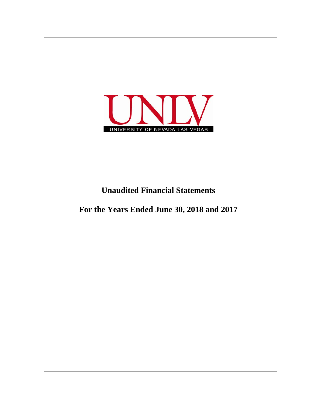

## **Unaudited Financial Statements**

**For the Years Ended June 30, 2018 and 2017**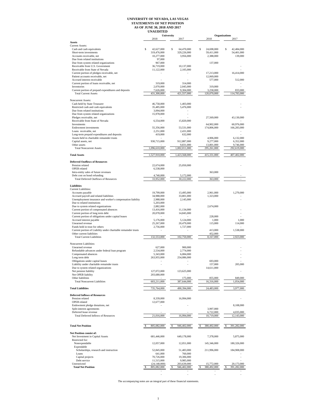## **UNIVERSITY OF NEVADA, LAS VEGAS STATEMENTS OF NET POSITION AS OF JUNE 30, 2018 AND 2017 UNAUDITED**

|                                                                                                       |                                         | University                              | <b>Organizations</b>           |                                |
|-------------------------------------------------------------------------------------------------------|-----------------------------------------|-----------------------------------------|--------------------------------|--------------------------------|
| <b>Assets</b>                                                                                         | 2018                                    | 2017                                    | 2018                           | 2017                           |
| <b>Current Assets:</b>                                                                                |                                         |                                         |                                |                                |
| Cash and cash equivalents<br>Short-term investments                                                   | \$<br>42,627,000<br>319,476,000         | Ś<br>64,470,000<br>329,226,000          | \$<br>24,698,000<br>59,411,000 | \$<br>42,484,000<br>54,401,000 |
| Accounts receivable, net                                                                              | 10,277,000                              | 3,956,000                               | 2,388,000                      | 139,000                        |
| Due from related institutions<br>Due from system related organizations                                | 97,000<br>967,000                       |                                         | 137,000                        |                                |
| Receivable from U.S. Government                                                                       | 36,719,000                              | 10,137,000                              |                                |                                |
| Receivable from State of Nevada                                                                       | 11,122,000                              | 2,105,000                               |                                |                                |
| Current portion of pledges receivable, net<br>Patient accounts receivable, net                        |                                         |                                         | 17,213,000<br>12,069,000       | 16,414,000                     |
| Accrued interest receivable                                                                           |                                         |                                         | 577,000                        | 512,000                        |
| Current portion of loans receivable, net                                                              | 319,000<br>2,070,000                    | 314,000<br>2,045,000                    |                                |                                |
| Inventories<br>Current portion of prepaid expenditures and deposits                                   | 7,626,000                               | 9,304,000                               | 319,000<br>3,258,000           | 833,000                        |
| <b>Total Current Assets</b>                                                                           | 431,300,000                             | 421,557,000                             | 120,070,000                    | 114,783,000                    |
| Noncurrent Assets:                                                                                    |                                         |                                         |                                |                                |
| Cash held by State Treasurer                                                                          | 46,758,000                              | 1.403.000                               |                                |                                |
| Restricted cash and cash equivalents<br>Due from related institutions                                 | 35,485,000<br>3,094,000                 | 5,476,000                               |                                |                                |
| Due from system related organizations                                                                 | 15,978,000                              |                                         |                                |                                |
| Pledges receivable, net                                                                               |                                         |                                         | 27,569,000                     | 43,130,000                     |
| Receivable from State of Nevada<br>Investments                                                        | 6,554,000                               | 15,820,000                              | 64,902,000                     | 60,976,000                     |
| Endowment investments                                                                                 | 55,356,000                              | 53,531,000                              | 174,806,000                    | 166,283,000                    |
| Loans receivable, net                                                                                 | 2,251,000<br>419,000                    | 2,431,000<br>632,000                    |                                |                                |
| Long-term prepaid expenditures and deposits<br>Assets held in charitable remainder trusts             |                                         |                                         | 4,906,000                      | 6,132,000                      |
| Capital assets, net                                                                                   | 930,715,000                             | 912,887,000                             | 9,277,000                      | 6,352,000                      |
| Other assets<br><b>Total Noncurrent Assets</b>                                                        | 1,096,610,000                           | 9,831,000<br>1,002,011,000              | 13,801,000<br>295,261,000      | 9,746,000<br>292,619,000       |
|                                                                                                       |                                         |                                         |                                |                                |
| <b>Total Assets</b>                                                                                   | 1,527,910,000                           | 1.423.568.000                           | 415,331,000                    | 407,402,000                    |
| <b>Deferred Outflows of Resources</b>                                                                 |                                         |                                         |                                |                                |
| Pension related                                                                                       | 22,674,000                              | 25,050,000                              |                                |                                |
| OPEB related<br>Intra-entity sales of future revenues                                                 | 6,538,000                               |                                         | 363,000                        |                                |
| Debt cost on bond refunding                                                                           | 4,740,000                               | 5,172,000                               |                                |                                |
| <b>Total Deferred Outflows of Resources</b>                                                           | 33,952,000                              | 30,222,000                              | 363,000                        | ÷.                             |
| <b>Liabilities</b>                                                                                    |                                         |                                         |                                |                                |
| <b>Current Liabilities:</b>                                                                           |                                         |                                         |                                |                                |
| Accounts payable                                                                                      | 19,799,000                              | 13,495,000                              | 2,961,000                      | 1,270,000                      |
| Accrued payroll and related liabilities<br>Unemployment insurance and worker's compensation liability | 34,988,000<br>2,988,000                 | 33,801,000<br>2,145,000                 | 1,323,000                      |                                |
| Due to related institutions                                                                           | 5,203,000                               |                                         |                                |                                |
| Due to system related organizations<br>Current portion of compensated absences                        | 2,882,000<br>13,416,000                 | 11,134,000                              | 2,674,000                      |                                |
| Current portion of long term debt                                                                     | 20,078,000                              | 14,845,000                              |                                |                                |
| Current portion of obligations under capital leases                                                   |                                         |                                         | 228,000                        |                                |
| Accrued interest payable<br>Unearned revenue                                                          | 5,176,000<br>25,267,000                 | 5,124,000<br>20,479,000                 | 1,000<br>115,000               | 1,000<br>114,000               |
| Funds held in trust for others                                                                        | 2,756,000                               | 1,727,000                               |                                |                                |
| Current portion of Liability under charitable remainder trusts<br>Other current liabilities           |                                         |                                         | 413,000<br>452,000             | 1,538,000                      |
| <b>Total Current Liabilities</b>                                                                      | 132,553,000                             | 102,750,000                             | 8,167,000                      | 2,923,000                      |
|                                                                                                       |                                         |                                         |                                |                                |
| Noncurrent Liabilities:<br>Unearned revenue                                                           | 627,000                                 | 900,000                                 |                                |                                |
| Refundable advances under federal loan program                                                        | 2,534,000                               | 2,774,000                               |                                |                                |
| Compensated absences                                                                                  | 5,343,000                               | 6,084,000                               |                                |                                |
| Long term debt<br>Obligations under capital leases                                                    | 263,955,000<br>$\overline{\phantom{a}}$ | 254,086,000<br>$\overline{\phantom{a}}$ | 693,000                        |                                |
| Liability under charitable remainder trusts                                                           |                                         |                                         | 157,000                        | 205,000                        |
| Due to system related organizations<br>Net pension liability                                          | 127,072,000                             | 123,625,000                             | 14,611,000                     |                                |
| Net OPEB liability                                                                                    | 203,680,000                             |                                         |                                |                                |
| Other liabilities<br><b>Total Noncurrent Liabilities</b>                                              |                                         | 175,000                                 | 855,000                        | 849,000                        |
|                                                                                                       | 603,211,000                             | 387,644,000                             | 16,316,000                     | 1,054,000                      |
| <b>Total Liabilities</b>                                                                              | 735,764,000                             | 490,394,000                             | 24,483,000                     | 3,977,000                      |
| <b>Deferred Inflows of Resources</b>                                                                  |                                         |                                         |                                |                                |
| Pension related                                                                                       | 8,339,000                               | 16,994,000                              |                                |                                |
| OPEB related                                                                                          | 12,677,000                              |                                         |                                |                                |
| Endowment pledge donations, net<br>Split-interest agreements                                          |                                         |                                         | 3,997,000                      | 8,108,000                      |
| Deferred lease revenue                                                                                |                                         |                                         | 6,722,000                      | 4,035,000                      |
| <b>Total Deferred Inflows of Resources</b>                                                            | 21,016,000                              | 16,994,000                              | 10,719,000                     | 12,143,000                     |
|                                                                                                       |                                         |                                         |                                |                                |
| <b>Total Net Position</b>                                                                             | 805,082,000                             | 946,402,000                             | 380,492,000                    | 391,282,000                    |
| Net Position consist of:                                                                              |                                         |                                         |                                |                                |
| Net Investment in Capital Assets                                                                      | 681,446,000                             | 649,178,000                             | 7,378,000                      | 5,875,000                      |
| Restricted for:                                                                                       |                                         |                                         |                                |                                |
| Nonexpendable<br>Expendable                                                                           | 12,057,000                              | 12,051,000                              | 145,346,000                    | 180,326,000                    |
| Scholarships, research and instruction                                                                | 52,845,000                              | 51,483,000                              | 211,996,000                    | 184,908,000                    |
| Loans                                                                                                 | 641,000                                 | 760,000                                 |                                |                                |
| Capital projects<br>Debt service                                                                      | 70,726,000<br>11,515,000                | 19,306,000<br>9,985,000                 |                                |                                |
| Unrestricted                                                                                          | (24, 148, 000)                          | 203,639,000                             | 15,772,000                     | 20,173,000                     |
| <b>Total Net Position</b>                                                                             | 805,082,000                             | 946,402,000                             | 380.492.000                    | 391,282,000                    |
|                                                                                                       |                                         |                                         |                                |                                |

The accompanying notes are an integral part of these financial statements.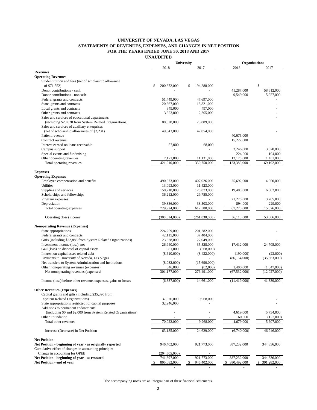## **UNIVERSITY OF NEVADA, LAS VEGAS STATEMENTS OF REVENUES, EXPENSES, AND CHANGES IN NET POSITION FOR THE YEARS ENDED JUNE 30, 2018 AND 2017 UNAUDITED**

|                                                               | <b>University</b> |                          | <b>Organizations</b> |                   |
|---------------------------------------------------------------|-------------------|--------------------------|----------------------|-------------------|
|                                                               | 2018              | 2017                     | 2018                 | 2017              |
| <b>Revenues</b>                                               |                   |                          |                      |                   |
| <b>Operating Revenues</b>                                     |                   |                          |                      |                   |
| Student tuition and fees (net of scholarship allowance        |                   |                          |                      |                   |
| of \$71,552)                                                  | 200,872,000<br>\$ | \$<br>194,288,000        |                      | \$                |
| Donor contributions - cash                                    |                   |                          | 41,287,000           | 58,612,000        |
| Donor contributions - noncash                                 |                   | $\overline{\phantom{a}}$ | 9,549,000            | 5,927,000         |
| Federal grants and contracts                                  | 51,449,000        | 47,697,000               |                      |                   |
| State grants and contracts                                    | 20,867,000        | 18,821,000               |                      |                   |
| Local grants and contracts                                    | 349,000           | 497,000                  |                      |                   |
| Other grants and contracts                                    | 3,323,000         | 2,305,000                |                      |                   |
| Sales and services of educational departments                 |                   |                          |                      |                   |
| (including \$28,620 from System Related Organizations)        | 88,328,000        | 28,889,000               |                      |                   |
| Sales and services of auxiliary enterprises                   |                   |                          |                      |                   |
| (net of scholarship allowances of \$2,231)                    | 49,543,000        | 47,054,000               |                      |                   |
| Patient revenue                                               |                   |                          | 40,675,000           |                   |
| Contract revenue                                              |                   |                          | 15,227,000           |                   |
| Interest earned on loans receivable                           | 57,000            | 68,000                   |                      |                   |
| Campus support                                                |                   |                          | 3,246,000            | 3,028,000         |
| Special events and fundraising                                |                   |                          | 224,000              | 194,000           |
| Other operating revenues                                      | 7,122,000         | 11,131,000               | 13,175,000           | 1,431,000         |
| Total operating revenues                                      | 421,910,000       | 350,750,000              | 123,383,000          | 69,192,000        |
|                                                               |                   |                          |                      |                   |
| <b>Expenses</b>                                               |                   |                          |                      |                   |
| <b>Operating Expenses</b>                                     |                   |                          |                      |                   |
| Employee compensation and benefits                            | 490,073,000       | 407,026,000              | 25,692,000           | 4,950,000         |
| <b>Utilities</b>                                              | 13,093,000        | 11,423,000               |                      |                   |
| Supplies and services                                         | 150,710,000       | 125,873,000              | 19,408,000           | 6,882,000         |
| Scholarships and fellowships                                  | 36,212,000        | 29,755,000               |                      |                   |
| Program expenses                                              |                   |                          | 21,276,000           | 3,765,000         |
| Depreciation                                                  | 39,836,000        | 38,503,000               | 894,000              | 229,000           |
| Total operating expenses                                      | 729,924,000       | 612,580,000              | 67,270,000           | 15,826,000        |
|                                                               |                   |                          |                      |                   |
| Operating (loss) income                                       | (308, 014, 000)   | (261, 830, 000)          | 56,113,000           | 53,366,000        |
|                                                               |                   |                          |                      |                   |
| <b>Nonoperating Revenue (Expenses)</b>                        |                   |                          |                      |                   |
| State appropriations                                          | 224,259,000       | 201,282,000              |                      |                   |
| Federal grants and contracts                                  | 42,115,000        | 37,404,000               |                      |                   |
| Gifts (including \$22,885 from System Related Organizations)  | 23,828,000        | 27,049,000               |                      |                   |
| Investment income (loss), net                                 | 26,940,000        | 35,528,000               | 17,412,000           | 24,705,000        |
| Gail (loss) on disposal of capital assets                     | 381,000           |                          |                      |                   |
|                                                               |                   | (568,000)                |                      |                   |
| Interest on capital asset-related debt                        | (8,610,000)       | (8,432,000)              | (190,000)            | (22,000)          |
| Payments to University of Nevada, Las Vegas                   |                   |                          | (86, 154, 000)       | (35,663,000)      |
| Net transfers to System Administration and Institutions       | (8,082,000)       | (15,690,000)             |                      |                   |
| Other nonoperating revenues (expenses)                        | 346,000           | (82,000)                 | 1,400,000            | (1,047,000)       |
| Net nonoperating revenues (expenses)                          | 301,177,000       | 276,491,000              | (67, 532, 000)       | (12,027,000)      |
|                                                               |                   |                          |                      |                   |
| Income (loss) before other revenue, expenses, gains or losses | (6,837,000)       | 14,661,000               | (11, 419, 000)       | 41,339,000        |
|                                                               |                   |                          |                      |                   |
| <b>Other Revenues (Expenses)</b>                              |                   |                          |                      |                   |
| Capital grants and gifts (including \$35,390 from             |                   |                          |                      |                   |
| <b>System Related Organizations)</b>                          | 37,076,000        | 9,968,000                |                      |                   |
| State appropriations restricted for capital purposes          | 32,946,000        |                          |                      |                   |
| Additions to permanent endowments                             |                   |                          |                      |                   |
| (including \$0 and \$2,000 from System Related Organizations) |                   |                          | 4,619,000            | 5,734,000         |
| Other Foundation                                              |                   |                          | 60,000               | (127,000)         |
| Total other revenues                                          | 70,022,000        | 9,968,000                | 4,679,000            | 5,607,000         |
|                                                               |                   |                          |                      |                   |
| Increase (Decrease) in Net Position                           | 63,185,000        | 24,629,000               | (6,740,000)          | 46,946,000        |
|                                                               |                   |                          |                      |                   |
| <b>Net Position</b>                                           |                   |                          |                      |                   |
| Net Position - beginning of year - as originally reported     | 946,402,000       | 921,773,000              | 387,232,000          | 344,336,000       |
| Cumulative effect of changes in accounting principle:         |                   |                          |                      |                   |
| Change in accounting for OPEB                                 | (204, 505, 000)   |                          |                      |                   |
| Net Position - beginning of year - as restated                | 741,897,000       | 921,773,000              | 387,232,000          | 344,336,000       |
| Net Position - end of year                                    | 805,082,000       | 946,402,000              | 380,492,000<br>\$    | 391,282,000<br>\$ |
|                                                               |                   |                          |                      |                   |

The accompanying notes are an integral part of these financial statements.